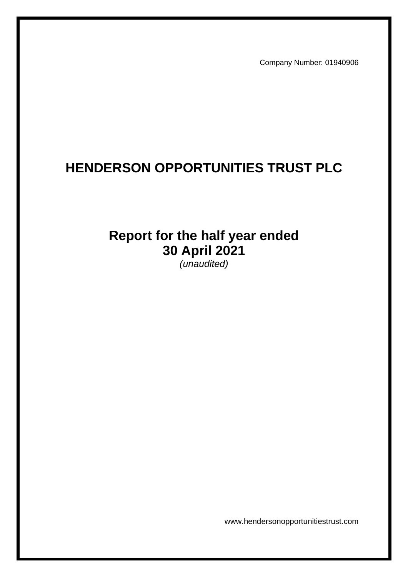Company Number: 01940906

# **HENDERSON OPPORTUNITIES TRUST PLC**

# **Report for the half year ended 30 April 2021**

*(unaudited)*

www.hendersonopportunitiestrust.com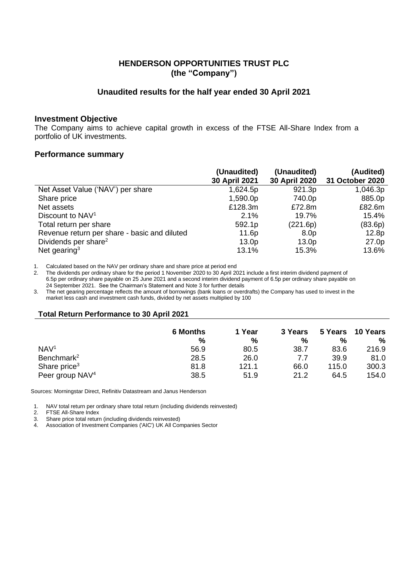# **HENDERSON OPPORTUNITIES TRUST PLC (the "Company")**

# **Unaudited results for the half year ended 30 April 2021**

### **Investment Objective**

The Company aims to achieve capital growth in excess of the FTSE All-Share Index from a portfolio of UK investments.

### **Performance summary**

|                                              | (Unaudited)<br>30 April 2021 | (Unaudited)<br>30 April 2020 | (Audited)<br>31 October 2020 |
|----------------------------------------------|------------------------------|------------------------------|------------------------------|
| Net Asset Value ('NAV') per share            | 1,624.5p                     | 921.3p                       | 1,046.3p                     |
| Share price                                  | 1,590.0p                     | 740.0p                       | 885.0p                       |
| Net assets                                   | £128.3m                      | £72.8m                       | £82.6m                       |
| Discount to NAV <sup>1</sup>                 | 2.1%                         | 19.7%                        | 15.4%                        |
| Total return per share                       | 592.1p                       | (221.6p)                     | (83.6p)                      |
| Revenue return per share - basic and diluted | 11.6p                        | 8.0 <sub>p</sub>             | 12.8p                        |
| Dividends per share <sup>2</sup>             | 13.0 <sub>p</sub>            | 13.0 <sub>p</sub>            | 27.0 <sub>p</sub>            |
| Net gearing <sup>3</sup>                     | 13.1%                        | 15.3%                        | 13.6%                        |

1. Calculated based on the NAV per ordinary share and share price at period end

2. The dividends per ordinary share for the period 1 November 2020 to 30 April 2021 include a first interim dividend payment of 6.5p per ordinary share payable on 25 June 2021 and a second interim dividend payment of 6.5p per ordinary share payable on 24 September 2021. See the Chairman's Statement and Note 3 for further details

3. The net gearing percentage reflects the amount of borrowings (bank loans or overdrafts) the Company has used to invest in the market less cash and investment cash funds, divided by net assets multiplied by 100

### **Total Return Performance to 30 April 2021**

|                             | <b>6 Months</b> | 1 Year | 3 Years |       | 5 Years 10 Years |
|-----------------------------|-----------------|--------|---------|-------|------------------|
|                             | %               | %      | %       | %     | %                |
| NAV <sup>1</sup>            | 56.9            | 80.5   | 38.7    | 83.6  | 216.9            |
| Benchmark <sup>2</sup>      | 28.5            | 26.0   | 7.7     | 39.9  | 81.0             |
| Share price <sup>3</sup>    | 81.8            | 121.1  | 66.0    | 115.0 | 300.3            |
| Peer group NAV <sup>4</sup> | 38.5            | 51.9   | 21.2    | 64.5  | 154.0            |

Sources: Morningstar Direct, Refinitiv Datastream and Janus Henderson

1. NAV total return per ordinary share total return (including dividends reinvested)

2. FTSE All-Share Index<br>3. Share price total returr

Share price total return (including dividends reinvested)

4. Association of Investment Companies ('AIC') UK All Companies Sector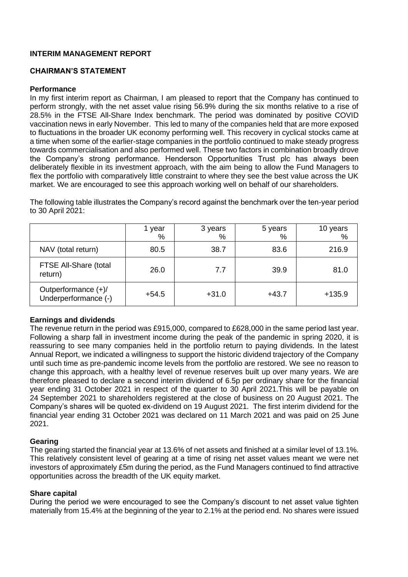# **INTERIM MANAGEMENT REPORT**

# **CHAIRMAN'S STATEMENT**

# **Performance**

In my first interim report as Chairman, I am pleased to report that the Company has continued to perform strongly, with the net asset value rising 56.9% during the six months relative to a rise of 28.5% in the FTSE All-Share Index benchmark. The period was dominated by positive COVID vaccination news in early November. This led to many of the companies held that are more exposed to fluctuations in the broader UK economy performing well. This recovery in cyclical stocks came at a time when some of the earlier-stage companies in the portfolio continued to make steady progress towards commercialisation and also performed well. These two factors in combination broadly drove the Company's strong performance. Henderson Opportunities Trust plc has always been deliberately flexible in its investment approach, with the aim being to allow the Fund Managers to flex the portfolio with comparatively little constraint to where they see the best value across the UK market. We are encouraged to see this approach working well on behalf of our shareholders.

The following table illustrates the Company's record against the benchmark over the ten-year period to 30 April 2021:

|                                             | year<br>% | 3 years<br>% | 5 years<br>% | 10 years<br>% |
|---------------------------------------------|-----------|--------------|--------------|---------------|
| NAV (total return)                          | 80.5      | 38.7         | 83.6         | 216.9         |
| FTSE All-Share (total<br>return)            | 26.0      | 7.7          | 39.9         | 81.0          |
| Outperformance (+)/<br>Underperformance (-) | $+54.5$   | $+31.0$      | $+43.7$      | $+135.9$      |

# **Earnings and dividends**

The revenue return in the period was £915,000, compared to £628,000 in the same period last year. Following a sharp fall in investment income during the peak of the pandemic in spring 2020, it is reassuring to see many companies held in the portfolio return to paying dividends. In the latest Annual Report, we indicated a willingness to support the historic dividend trajectory of the Company until such time as pre-pandemic income levels from the portfolio are restored. We see no reason to change this approach, with a healthy level of revenue reserves built up over many years. We are therefore pleased to declare a second interim dividend of 6.5p per ordinary share for the financial year ending 31 October 2021 in respect of the quarter to 30 April 2021.This will be payable on 24 September 2021 to shareholders registered at the close of business on 20 August 2021. The Company's shares will be quoted ex-dividend on 19 August 2021. The first interim dividend for the financial year ending 31 October 2021 was declared on 11 March 2021 and was paid on 25 June 2021.

# **Gearing**

The gearing started the financial year at 13.6% of net assets and finished at a similar level of 13.1%. This relatively consistent level of gearing at a time of rising net asset values meant we were net investors of approximately £5m during the period, as the Fund Managers continued to find attractive opportunities across the breadth of the UK equity market.

# **Share capital**

During the period we were encouraged to see the Company's discount to net asset value tighten materially from 15.4% at the beginning of the year to 2.1% at the period end. No shares were issued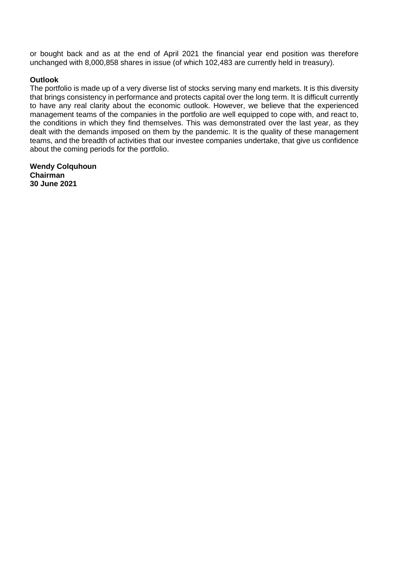or bought back and as at the end of April 2021 the financial year end position was therefore unchanged with 8,000,858 shares in issue (of which 102,483 are currently held in treasury).

# **Outlook**

The portfolio is made up of a very diverse list of stocks serving many end markets. It is this diversity that brings consistency in performance and protects capital over the long term. It is difficult currently to have any real clarity about the economic outlook. However, we believe that the experienced management teams of the companies in the portfolio are well equipped to cope with, and react to, the conditions in which they find themselves. This was demonstrated over the last year, as they dealt with the demands imposed on them by the pandemic. It is the quality of these management teams, and the breadth of activities that our investee companies undertake, that give us confidence about the coming periods for the portfolio.

**Wendy Colquhoun Chairman 30 June 2021**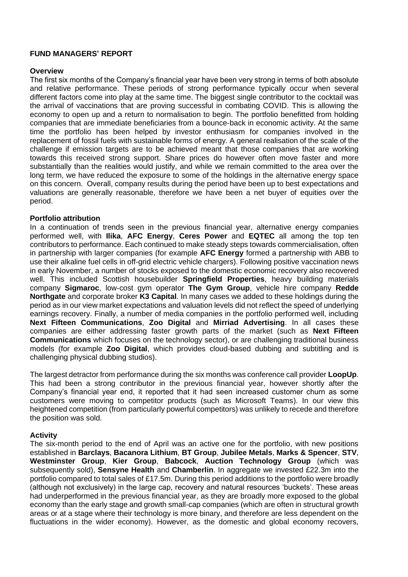# **FUND MANAGERS' REPORT**

### **Overview**

The first six months of the Company's financial year have been very strong in terms of both absolute and relative performance. These periods of strong performance typically occur when several different factors come into play at the same time. The biggest single contributor to the cocktail was the arrival of vaccinations that are proving successful in combating COVID. This is allowing the economy to open up and a return to normalisation to begin. The portfolio benefitted from holding companies that are immediate beneficiaries from a bounce-back in economic activity. At the same time the portfolio has been helped by investor enthusiasm for companies involved in the replacement of fossil fuels with sustainable forms of energy. A general realisation of the scale of the challenge if emission targets are to be achieved meant that those companies that are working towards this received strong support. Share prices do however often move faster and more substantially than the realities would justify, and while we remain committed to the area over the long term, we have reduced the exposure to some of the holdings in the alternative energy space on this concern. Overall, company results during the period have been up to best expectations and valuations are generally reasonable, therefore we have been a net buyer of equities over the period.

# **Portfolio attribution**

In a continuation of trends seen in the previous financial year, alternative energy companies performed well, with **Ilika**, **AFC Energy**, **Ceres Power** and **EQTEC** all among the top ten contributors to performance. Each continued to make steady steps towards commercialisation, often in partnership with larger companies (for example **AFC Energy** formed a partnership with ABB to use their alkaline fuel cells in off-grid electric vehicle chargers). Following positive vaccination news in early November, a number of stocks exposed to the domestic economic recovery also recovered well. This included Scottish housebuilder **Springfield Properties**, heavy building materials company **Sigmaroc**, low-cost gym operator **The Gym Group**, vehicle hire company **Redde Northgate** and corporate broker **K3 Capital**. In many cases we added to these holdings during the period as in our view market expectations and valuation levels did not reflect the speed of underlying earnings recovery. Finally, a number of media companies in the portfolio performed well, including **Next Fifteen Communications**, **Zoo Digital** and **Mirriad Advertising**. In all cases these companies are either addressing faster growth parts of the market (such as **Next Fifteen Communications** which focuses on the technology sector), or are challenging traditional business models (for example **Zoo Digital**, which provides cloud-based dubbing and subtitling and is challenging physical dubbing studios).

The largest detractor from performance during the six months was conference call provider **LoopUp**. This had been a strong contributor in the previous financial year, however shortly after the Company's financial year end, it reported that it had seen increased customer churn as some customers were moving to competitor products (such as Microsoft Teams). In our view this heightened competition (from particularly powerful competitors) was unlikely to recede and therefore the position was sold.

# **Activity**

The six-month period to the end of April was an active one for the portfolio, with new positions established in **Barclays**, **Bacanora Lithium**, **BT Group**, **Jubilee Metals**, **Marks & Spencer**, **STV**, **Westminster Group**, **Kier Group**, **Babcock**, **Auction Technology Group** (which was subsequently sold), **Sensyne Health** and **Chamberlin**. In aggregate we invested £22.3m into the portfolio compared to total sales of £17.5m. During this period additions to the portfolio were broadly (although not exclusively) in the large cap, recovery and natural resources 'buckets'. These areas had underperformed in the previous financial year, as they are broadly more exposed to the global economy than the early stage and growth small-cap companies (which are often in structural growth areas or at a stage where their technology is more binary, and therefore are less dependent on the fluctuations in the wider economy). However, as the domestic and global economy recovers,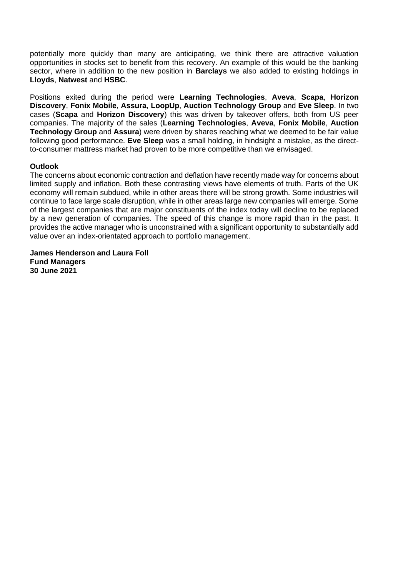potentially more quickly than many are anticipating, we think there are attractive valuation opportunities in stocks set to benefit from this recovery. An example of this would be the banking sector, where in addition to the new position in **Barclays** we also added to existing holdings in **Lloyds**, **Natwest** and **HSBC**.

Positions exited during the period were **Learning Technologies**, **Aveva**, **Scapa**, **Horizon Discovery**, **Fonix Mobile**, **Assura**, **LoopUp**, **Auction Technology Group** and **Eve Sleep**. In two cases (**Scapa** and **Horizon Discovery**) this was driven by takeover offers, both from US peer companies. The majority of the sales (**Learning Technologies**, **Aveva**, **Fonix Mobile**, **Auction Technology Group** and **Assura**) were driven by shares reaching what we deemed to be fair value following good performance. **Eve Sleep** was a small holding, in hindsight a mistake, as the directto-consumer mattress market had proven to be more competitive than we envisaged.

# **Outlook**

The concerns about economic contraction and deflation have recently made way for concerns about limited supply and inflation. Both these contrasting views have elements of truth. Parts of the UK economy will remain subdued, while in other areas there will be strong growth. Some industries will continue to face large scale disruption, while in other areas large new companies will emerge. Some of the largest companies that are major constituents of the index today will decline to be replaced by a new generation of companies. The speed of this change is more rapid than in the past. It provides the active manager who is unconstrained with a significant opportunity to substantially add value over an index-orientated approach to portfolio management.

**James Henderson and Laura Foll Fund Managers 30 June 2021**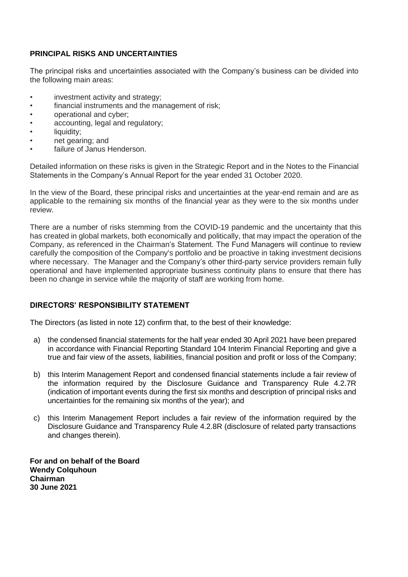# **PRINCIPAL RISKS AND UNCERTAINTIES**

The principal risks and uncertainties associated with the Company's business can be divided into the following main areas:

- investment activity and strategy;
- financial instruments and the management of risk;
- operational and cyber;
- accounting, legal and regulatory;
- liquidity;
- net gearing; and
- failure of Janus Henderson

Detailed information on these risks is given in the Strategic Report and in the Notes to the Financial Statements in the Company's Annual Report for the year ended 31 October 2020.

In the view of the Board, these principal risks and uncertainties at the year-end remain and are as applicable to the remaining six months of the financial year as they were to the six months under review.

There are a number of risks stemming from the COVID-19 pandemic and the uncertainty that this has created in global markets, both economically and politically, that may impact the operation of the Company, as referenced in the Chairman's Statement. The Fund Managers will continue to review carefully the composition of the Company's portfolio and be proactive in taking investment decisions where necessary. The Manager and the Company's other third-party service providers remain fully operational and have implemented appropriate business continuity plans to ensure that there has been no change in service while the majority of staff are working from home.

# **DIRECTORS' RESPONSIBILITY STATEMENT**

The Directors (as listed in note 12) confirm that, to the best of their knowledge:

- a) the condensed financial statements for the half year ended 30 April 2021 have been prepared in accordance with Financial Reporting Standard 104 Interim Financial Reporting and give a true and fair view of the assets, liabilities, financial position and profit or loss of the Company;
- b) this Interim Management Report and condensed financial statements include a fair review of the information required by the Disclosure Guidance and Transparency Rule 4.2.7R (indication of important events during the first six months and description of principal risks and uncertainties for the remaining six months of the year); and
- c) this Interim Management Report includes a fair review of the information required by the Disclosure Guidance and Transparency Rule 4.2.8R (disclosure of related party transactions and changes therein).

**For and on behalf of the Board Wendy Colquhoun Chairman 30 June 2021**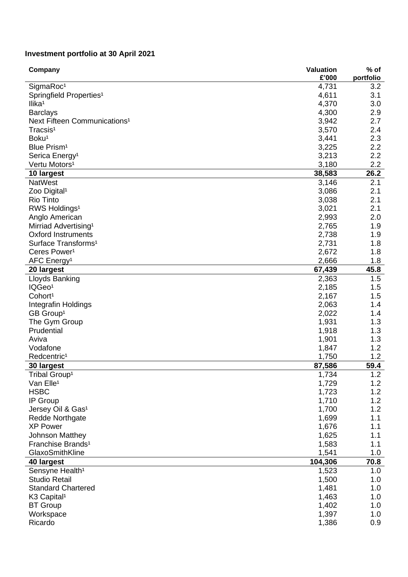#### **Investment portfolio at 30 April 2021**

| Company                                  | <b>Valuation</b><br>£'000 | $%$ of<br>portfolio |
|------------------------------------------|---------------------------|---------------------|
| SigmaRoc <sup>1</sup>                    | 4,731                     | 3.2                 |
| Springfield Properties <sup>1</sup>      | 4,611                     | 3.1                 |
| llika <sup>1</sup>                       | 4,370                     | 3.0                 |
| <b>Barclays</b>                          | 4,300                     | 2.9                 |
| Next Fifteen Communications <sup>1</sup> | 3,942                     | 2.7                 |
| Tracsis <sup>1</sup>                     | 3,570                     | 2.4                 |
| Boku <sup>1</sup>                        | 3,441                     | 2.3                 |
| Blue Prism <sup>1</sup>                  | 3,225                     | 2.2                 |
| Serica Energy <sup>1</sup>               | 3,213                     | 2.2                 |
| Vertu Motors <sup>1</sup>                | 3,180                     | 2.2                 |
| 10 largest                               | 38,583                    | 26.2                |
| <b>NatWest</b>                           | 3,146                     | 2.1                 |
| Zoo Digital <sup>1</sup>                 | 3,086                     | 2.1                 |
| <b>Rio Tinto</b>                         | 3,038                     | 2.1                 |
| RWS Holdings <sup>1</sup>                | 3,021                     | 2.1                 |
| Anglo American                           | 2,993                     | 2.0                 |
| Mirriad Advertising <sup>1</sup>         | 2,765                     | 1.9                 |
| <b>Oxford Instruments</b>                | 2,738                     | 1.9                 |
| Surface Transforms <sup>1</sup>          |                           |                     |
|                                          | 2,731                     | 1.8                 |
| Ceres Power <sup>1</sup>                 | 2,672                     | 1.8                 |
| AFC Energy <sup>1</sup>                  | 2,666                     | 1.8                 |
| 20 largest                               | 67,439                    | 45.8                |
| Lloyds Banking                           | 2,363                     | 1.5                 |
| IQGeo <sup>1</sup>                       | 2,185                     | 1.5                 |
| Cohort <sup>1</sup>                      | 2,167                     | 1.5                 |
| Integrafin Holdings                      | 2,063                     | 1.4                 |
| GB Group <sup>1</sup>                    | 2,022                     | 1.4                 |
| The Gym Group                            | 1,931                     | 1.3                 |
| Prudential                               | 1,918                     | 1.3                 |
| Aviva                                    | 1,901                     | 1.3                 |
| Vodafone                                 | 1,847                     | 1.2                 |
| Redcentric <sup>1</sup>                  | 1,750                     | 1.2                 |
| 30 largest                               | 87,586                    | 59.4                |
| Tribal Group <sup>1</sup>                | 1,734                     | 1.2                 |
| Van Elle <sup>1</sup>                    | 1,729                     | 1.2                 |
| <b>HSBC</b>                              | 1,723                     | 1.2                 |
| IP Group                                 | 1,710                     | 1.2                 |
| Jersey Oil & Gas <sup>1</sup>            | 1,700                     | 1.2                 |
| Redde Northgate                          | 1,699                     | 1.1                 |
| <b>XP Power</b>                          | 1,676                     | 1.1                 |
| <b>Johnson Matthey</b>                   | 1,625                     | 1.1                 |
| Franchise Brands <sup>1</sup>            | 1,583                     | 1.1                 |
| GlaxoSmithKline                          | 1,541                     | 1.0                 |
| 40 largest                               | 104,306                   | 70.8                |
| Sensyne Health <sup>1</sup>              | 1,523                     | 1.0                 |
| <b>Studio Retail</b>                     | 1,500                     | 1.0                 |
| <b>Standard Chartered</b>                | 1,481                     | 1.0                 |
| K <sub>3</sub> Capital <sup>1</sup>      | 1,463                     | 1.0                 |
| <b>BT</b> Group                          | 1,402                     | 1.0                 |
| Workspace                                | 1,397                     | 1.0                 |
| Ricardo                                  | 1,386                     | 0.9                 |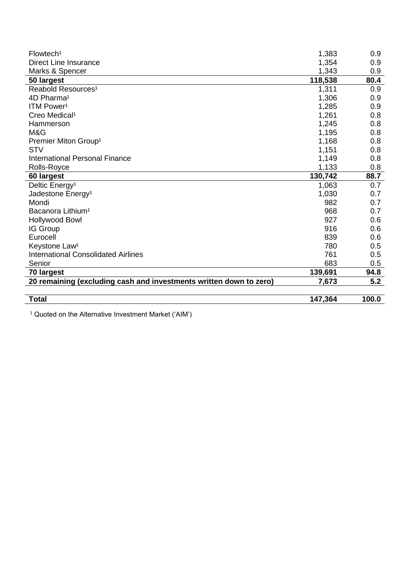| Flowtech <sup>1</sup>                                              | 1,383   | 0.9   |
|--------------------------------------------------------------------|---------|-------|
| <b>Direct Line Insurance</b>                                       | 1,354   | 0.9   |
| Marks & Spencer                                                    | 1,343   | 0.9   |
| 50 largest                                                         | 118,538 | 80.4  |
| Reabold Resources <sup>1</sup>                                     | 1,311   | 0.9   |
| 4D Pharma <sup>1</sup>                                             | 1,306   | 0.9   |
| ITM Power <sup>1</sup>                                             | 1,285   | 0.9   |
| Creo Medical <sup>1</sup>                                          | 1,261   | 0.8   |
| Hammerson                                                          | 1,245   | 0.8   |
| M&G                                                                | 1,195   | 0.8   |
| Premier Miton Group <sup>1</sup>                                   | 1,168   | 0.8   |
| <b>STV</b>                                                         | 1,151   | 0.8   |
| <b>International Personal Finance</b>                              | 1,149   | 0.8   |
| Rolls-Royce                                                        | 1,133   | 0.8   |
| 60 largest                                                         | 130,742 | 88.7  |
| Deltic Energy <sup>1</sup>                                         | 1,063   | 0.7   |
| Jadestone Energy <sup>1</sup>                                      | 1,030   | 0.7   |
| Mondi                                                              | 982     | 0.7   |
| Bacanora Lithium <sup>1</sup>                                      | 968     | 0.7   |
| <b>Hollywood Bowl</b>                                              | 927     | 0.6   |
| IG Group                                                           | 916     | 0.6   |
| Eurocell                                                           | 839     | 0.6   |
| Keystone Law <sup>1</sup>                                          | 780     | 0.5   |
| <b>International Consolidated Airlines</b>                         | 761     | 0.5   |
| Senior                                                             | 683     | 0.5   |
| 70 largest                                                         | 139,691 | 94.8  |
| 20 remaining (excluding cash and investments written down to zero) | 7,673   | 5.2   |
|                                                                    |         |       |
| <b>Total</b>                                                       | 147,364 | 100.0 |

<sup>1</sup> Quoted on the Alternative Investment Market ('AIM')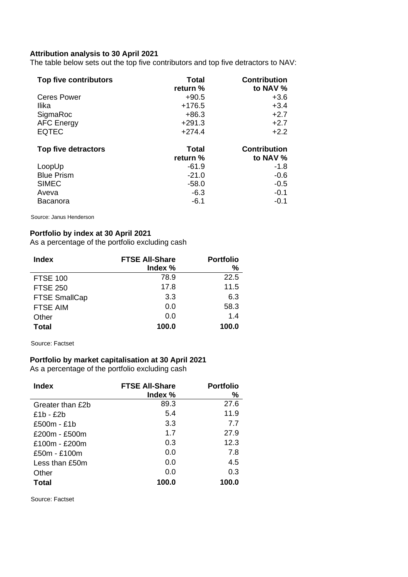# **Attribution analysis to 30 April 2021**

The table below sets out the top five contributors and top five detractors to NAV:

| Top five contributors | Total<br>return % | <b>Contribution</b><br>to NAV % |
|-----------------------|-------------------|---------------------------------|
| <b>Ceres Power</b>    | $+90.5$           | $+3.6$                          |
| Ilika                 | $+176.5$          | $+3.4$                          |
| SigmaRoc              | $+86.3$           | $+2.7$                          |
| <b>AFC Energy</b>     | $+291.3$          | $+2.7$                          |
| <b>EQTEC</b>          | $+274.4$          | $+2.2$                          |
| Top five detractors   | <b>Total</b>      | <b>Contribution</b>             |
|                       | return %          | to NAV %                        |
| LoopUp                | $-61.9$           | -1.8                            |
| <b>Blue Prism</b>     | $-21.0$           | $-0.6$                          |
| <b>SIMEC</b>          | $-58.0$           | $-0.5$                          |
| Aveva                 | $-6.3$            | $-0.1$                          |
| Bacanora              | $-6.1$            | $-0.1$                          |

Source: Janus Henderson

# **Portfolio by index at 30 April 2021**

As a percentage of the portfolio excluding cash

| <b>Index</b>         | <b>FTSE All-Share</b> | <b>Portfolio</b> |
|----------------------|-----------------------|------------------|
|                      | Index %               | %                |
| <b>FTSE 100</b>      | 78.9                  | 22.5             |
| <b>FTSE 250</b>      | 17.8                  | 11.5             |
| <b>FTSE SmallCap</b> | 3.3                   | 6.3              |
| <b>FTSE AIM</b>      | 0.0                   | 58.3             |
| Other                | 0.0                   | 1.4              |
| Total                | 100.0                 | 100.0            |

Source: Factset

# **Portfolio by market capitalisation at 30 April 2021**

As a percentage of the portfolio excluding cash

| <b>Index</b>     | <b>FTSE All-Share</b><br>Index % | <b>Portfolio</b><br>% |
|------------------|----------------------------------|-----------------------|
| Greater than £2b | 89.3                             | 27.6                  |
| £1b - £2b        | 5.4                              | 11.9                  |
| £500m - £1b      | 3.3                              | 7.7                   |
| £200m - £500m    | 1.7                              | 27.9                  |
| £100m - £200m    | 0.3                              | 12.3                  |
| £50m - £100m     | 0.0                              | 7.8                   |
| Less than $£50m$ | 0.0                              | 4.5                   |
| Other            | 0.0                              | 0.3                   |
| Total            | 100.0                            | 100.0                 |

Source: Factset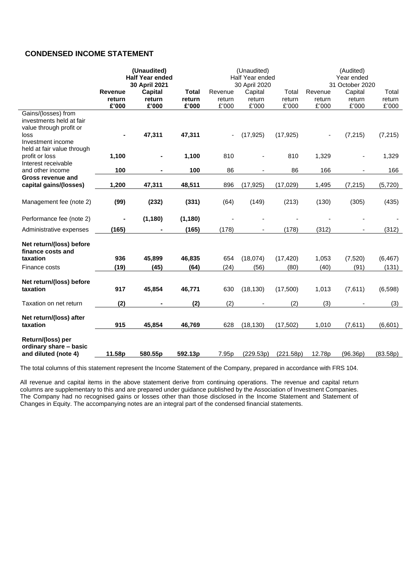# **CONDENSED INCOME STATEMENT**

|                                                                                                                                       | (Unaudited)<br><b>Half Year ended</b> |                            | 30 April 2021                   |                            |                            | (Unaudited)<br>Half Year ended<br>30 April 2020 |                            |                            | (Audited)<br>Year ended<br>31 October 2020 |  |  |
|---------------------------------------------------------------------------------------------------------------------------------------|---------------------------------------|----------------------------|---------------------------------|----------------------------|----------------------------|-------------------------------------------------|----------------------------|----------------------------|--------------------------------------------|--|--|
|                                                                                                                                       | <b>Revenue</b><br>return<br>£'000     | Capital<br>return<br>£'000 | <b>Total</b><br>return<br>£'000 | Revenue<br>return<br>£'000 | Capital<br>return<br>£'000 | Total<br>return<br>£'000                        | Revenue<br>return<br>£'000 | Capital<br>return<br>£'000 | Total<br>return<br>£'000                   |  |  |
| Gains/(losses) from<br>investments held at fair<br>value through profit or<br>loss<br>Investment income<br>held at fair value through |                                       | 47,311                     | 47,311                          |                            | (17, 925)                  | (17, 925)                                       |                            | (7, 215)                   | (7, 215)                                   |  |  |
| profit or loss<br>Interest receivable                                                                                                 | 1,100                                 |                            | 1,100                           | 810                        |                            | 810                                             | 1,329                      |                            | 1,329                                      |  |  |
| and other income                                                                                                                      | 100                                   |                            | 100                             | 86                         |                            | 86                                              | 166                        |                            | 166                                        |  |  |
| Gross revenue and<br>capital gains/(losses)                                                                                           | 1,200                                 | 47,311                     | 48,511                          | 896                        | (17, 925)                  | (17, 029)                                       | 1,495                      | (7, 215)                   | (5,720)                                    |  |  |
| Management fee (note 2)                                                                                                               | (99)                                  | (232)                      | (331)                           | (64)                       | (149)                      | (213)                                           | (130)                      | (305)                      | (435)                                      |  |  |
| Performance fee (note 2)                                                                                                              |                                       | (1, 180)                   | (1, 180)                        |                            |                            |                                                 |                            |                            |                                            |  |  |
| Administrative expenses                                                                                                               | (165)                                 |                            | (165)                           | (178)                      |                            | (178)                                           | (312)                      |                            | (312)                                      |  |  |
| Net return/(loss) before<br>finance costs and<br>taxation<br>Finance costs                                                            | 936<br>(19)                           | 45,899<br>(45)             | 46,835<br>(64)                  | 654<br>(24)                | (18,074)<br>(56)           | (17, 420)<br>(80)                               | 1,053<br>(40)              | (7, 520)<br>(91)           | (6, 467)<br>(131)                          |  |  |
| Net return/(loss) before<br>taxation                                                                                                  | 917                                   | 45,854                     | 46,771                          | 630                        | (18, 130)                  | (17,500)                                        | 1,013                      | (7,611)                    | (6,598)                                    |  |  |
| Taxation on net return                                                                                                                | (2)                                   |                            | (2)                             | (2)                        |                            | (2)                                             | (3)                        |                            | (3)                                        |  |  |
| Net return/(loss) after<br>taxation                                                                                                   | 915                                   | 45,854                     | 46,769                          | 628                        | (18, 130)                  | (17, 502)                                       | 1,010                      | (7,611)                    | (6,601)                                    |  |  |
| Return/(loss) per<br>ordinary share - basic<br>and diluted (note 4)                                                                   | 11.58p                                | 580.55p                    | 592.13p                         | 7.95p                      | (229.53p)                  | (221.58p)                                       | 12.78p                     | (96.36p)                   | (83.58p)                                   |  |  |

The total columns of this statement represent the Income Statement of the Company, prepared in accordance with FRS 104.

All revenue and capital items in the above statement derive from continuing operations. The revenue and capital return columns are supplementary to this and are prepared under guidance published by the Association of Investment Companies. The Company had no recognised gains or losses other than those disclosed in the Income Statement and Statement of Changes in Equity. The accompanying notes are an integral part of the condensed financial statements.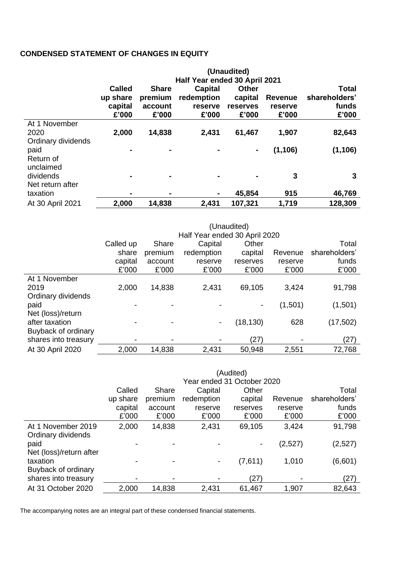# **CONDENSED STATEMENT OF CHANGES IN EQUITY**

|                    | (Unaudited)   |                                                  |            |          |          |               |  |  |  |
|--------------------|---------------|--------------------------------------------------|------------|----------|----------|---------------|--|--|--|
|                    |               | Half Year ended 30 April 2021                    |            |          |          |               |  |  |  |
|                    | <b>Called</b> | Total<br><b>Share</b><br><b>Other</b><br>Capital |            |          |          |               |  |  |  |
|                    | up share      | premium                                          | redemption | capital  | Revenue  | shareholders' |  |  |  |
|                    | capital       | account                                          | reserve    | reserves | reserve  | funds         |  |  |  |
|                    | £'000         | £'000                                            | £'000      | £'000    | £'000    | £'000         |  |  |  |
| At 1 November      |               |                                                  |            |          |          |               |  |  |  |
| 2020               | 2,000         | 14,838                                           | 2,431      | 61,467   | 1,907    | 82,643        |  |  |  |
| Ordinary dividends |               |                                                  |            |          |          |               |  |  |  |
| paid               |               |                                                  |            |          | (1, 106) | (1, 106)      |  |  |  |
| Return of          |               |                                                  |            |          |          |               |  |  |  |
| unclaimed          |               |                                                  |            |          |          |               |  |  |  |
| dividends          |               |                                                  |            |          | 3        | 3             |  |  |  |
| Net return after   |               |                                                  |            |          |          |               |  |  |  |
| taxation           |               | $\blacksquare$                                   | ۰          | 45,854   | 915      | 46,769        |  |  |  |
| At 30 April 2021   | 2,000         | 14,838                                           | 2,431      | 107,321  | 1,719    | 128,309       |  |  |  |

|                      | (Unaudited)                   |                                    |                          |           |         |               |  |  |  |
|----------------------|-------------------------------|------------------------------------|--------------------------|-----------|---------|---------------|--|--|--|
|                      | Half Year ended 30 April 2020 |                                    |                          |           |         |               |  |  |  |
|                      | Called up                     | Capital<br>Other<br>Total<br>Share |                          |           |         |               |  |  |  |
|                      | share                         | premium                            | redemption               | capital   | Revenue | shareholders' |  |  |  |
|                      | capital                       | account                            | reserve                  | reserves  | reserve | funds         |  |  |  |
|                      | £'000                         | £'000                              | £'000                    | £'000     | £'000   | £'000         |  |  |  |
| At 1 November        |                               |                                    |                          |           |         |               |  |  |  |
| 2019                 | 2,000                         | 14,838                             | 2,431                    | 69,105    | 3,424   | 91,798        |  |  |  |
| Ordinary dividends   |                               |                                    |                          |           |         |               |  |  |  |
| paid                 |                               |                                    |                          |           | (1,501) | (1,501)       |  |  |  |
| Net (loss)/return    |                               |                                    |                          |           |         |               |  |  |  |
| after taxation       |                               |                                    | $\overline{\phantom{a}}$ | (18, 130) | 628     | (17, 502)     |  |  |  |
| Buyback of ordinary  |                               |                                    |                          |           |         |               |  |  |  |
| shares into treasury |                               |                                    |                          | (27)      |         | (27)          |  |  |  |
| At 30 April 2020     | 2,000                         | 14,838                             | 2,431                    | 50,948    | 2,551   | 72,768        |  |  |  |

|                         | (Audited) |                            |            |          |         |               |  |  |
|-------------------------|-----------|----------------------------|------------|----------|---------|---------------|--|--|
|                         |           | Year ended 31 October 2020 |            |          |         |               |  |  |
|                         | Called    | Other<br>Capital<br>Share  |            |          |         |               |  |  |
|                         | up share  | premium                    | redemption | capital  | Revenue | shareholders' |  |  |
|                         | capital   | account                    | reserve    | reserves | reserve | funds         |  |  |
|                         | £'000     | £'000                      | £'000      | £'000    | £'000   | £'000         |  |  |
| At 1 November 2019      | 2,000     | 14,838                     | 2,431      | 69,105   | 3,424   | 91,798        |  |  |
| Ordinary dividends      |           |                            |            |          |         |               |  |  |
| paid                    |           |                            |            |          | (2,527) | (2,527)       |  |  |
| Net (loss)/return after |           |                            |            |          |         |               |  |  |
| taxation                |           |                            |            | (7,611)  | 1,010   | (6,601)       |  |  |
| Buyback of ordinary     |           |                            |            |          |         |               |  |  |
| shares into treasury    |           |                            |            | (27)     |         | (27)          |  |  |
| At 31 October 2020      | 2,000     | 14,838                     | 2,431      | 61,467   | 1,907   | 82,643        |  |  |
|                         |           |                            |            |          |         |               |  |  |

The accompanying notes are an integral part of these condensed financial statements.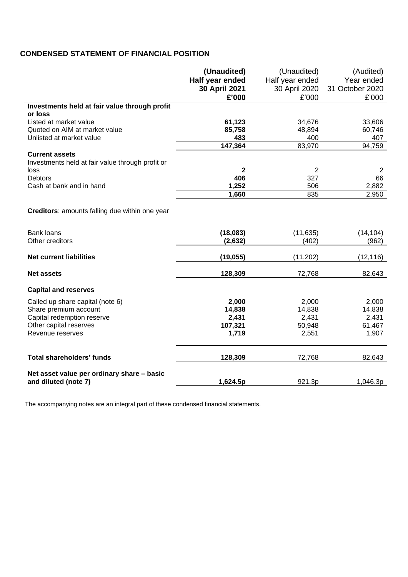# **CONDENSED STATEMENT OF FINANCIAL POSITION**

|                                                       | (Unaudited)                      | (Unaudited)                      | (Audited)<br>Year ended |
|-------------------------------------------------------|----------------------------------|----------------------------------|-------------------------|
|                                                       | Half year ended<br>30 April 2021 | Half year ended<br>30 April 2020 | 31 October 2020         |
|                                                       | £'000                            | £'000                            | £'000                   |
| Investments held at fair value through profit         |                                  |                                  |                         |
| or loss                                               |                                  |                                  |                         |
| Listed at market value                                | 61,123                           | 34,676                           | 33,606                  |
| Quoted on AIM at market value                         | 85,758                           | 48,894                           | 60,746                  |
| Unlisted at market value                              | 483<br>147,364                   | 400<br>83,970                    | 407<br>94,759           |
| <b>Current assets</b>                                 |                                  |                                  |                         |
| Investments held at fair value through profit or      |                                  |                                  |                         |
| loss                                                  | 2                                | 2                                | 2                       |
| <b>Debtors</b>                                        | 406                              | 327                              | 66                      |
| Cash at bank and in hand                              | 1,252                            | 506                              | 2,882                   |
|                                                       | 1,660                            | 835                              | 2,950                   |
| <b>Creditors:</b> amounts falling due within one year |                                  |                                  |                         |
| <b>Bank loans</b><br>Other creditors                  | (18,083)<br>(2,632)              | (11, 635)<br>(402)               | (14, 104)<br>(962)      |
| <b>Net current liabilities</b>                        | (19, 055)                        | (11, 202)                        | (12, 116)               |
| <b>Net assets</b>                                     | 128,309                          | 72,768                           | 82,643                  |
| <b>Capital and reserves</b>                           |                                  |                                  |                         |
| Called up share capital (note 6)                      | 2,000                            | 2,000                            | 2,000                   |
| Share premium account                                 | 14,838                           | 14,838                           | 14,838                  |
| Capital redemption reserve                            | 2,431                            | 2,431                            | 2,431                   |
| Other capital reserves                                | 107,321                          | 50,948                           | 61,467                  |
| Revenue reserves                                      | 1,719                            | 2,551                            | 1,907                   |
| <b>Total shareholders' funds</b>                      | 128,309                          | 72,768                           | 82,643                  |
| Net asset value per ordinary share - basic            |                                  |                                  |                         |
| and diluted (note 7)                                  | 1,624.5p                         | 921.3p                           | 1,046.3p                |

The accompanying notes are an integral part of these condensed financial statements.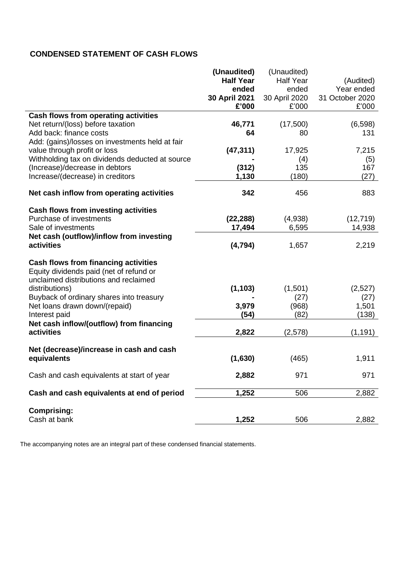# **CONDENSED STATEMENT OF CASH FLOWS**

|                                                                                        | (Unaudited)      | (Unaudited)      |                 |
|----------------------------------------------------------------------------------------|------------------|------------------|-----------------|
|                                                                                        | <b>Half Year</b> | <b>Half Year</b> | (Audited)       |
|                                                                                        | ended            | ended            | Year ended      |
|                                                                                        | 30 April 2021    | 30 April 2020    | 31 October 2020 |
|                                                                                        | £'000            | £'000            | £'000           |
| Cash flows from operating activities                                                   |                  |                  |                 |
| Net return/(loss) before taxation                                                      | 46,771           | (17,500)         | (6,598)         |
| Add back: finance costs                                                                | 64               | 80               | 131             |
| Add: (gains)/losses on investments held at fair                                        |                  |                  |                 |
| value through profit or loss                                                           | (47, 311)        | 17,925           | 7,215           |
| Withholding tax on dividends deducted at source                                        |                  | (4)              | (5)             |
| (Increase)/decrease in debtors                                                         | (312)            | 135              | 167             |
| Increase/(decrease) in creditors                                                       | 1,130            | (180)            | (27)            |
|                                                                                        |                  |                  |                 |
| Net cash inflow from operating activities                                              | 342              | 456              | 883             |
|                                                                                        |                  |                  |                 |
| <b>Cash flows from investing activities</b>                                            |                  |                  |                 |
| Purchase of investments                                                                | (22, 288)        | (4,938)          | (12, 719)       |
| Sale of investments                                                                    | 17,494           | 6,595            | 14,938          |
| Net cash (outflow)/inflow from investing                                               |                  |                  |                 |
| activities                                                                             | (4, 794)         | 1,657            | 2,219           |
| <b>Cash flows from financing activities</b><br>Equity dividends paid (net of refund or |                  |                  |                 |
| unclaimed distributions and reclaimed                                                  |                  |                  |                 |
| distributions)                                                                         | (1, 103)         | (1,501)          | (2,527)         |
|                                                                                        |                  |                  |                 |
| Buyback of ordinary shares into treasury                                               | 3,979            | (27)             | (27)            |
| Net loans drawn down/(repaid)                                                          | (54)             | (968)<br>(82)    | 1,501<br>(138)  |
| Interest paid                                                                          |                  |                  |                 |
| Net cash inflow/(outflow) from financing<br><b>activities</b>                          |                  |                  |                 |
|                                                                                        | 2,822            | (2,578)          | (1, 191)        |
| Net (decrease)/increase in cash and cash                                               |                  |                  |                 |
| equivalents                                                                            | (1,630)          | (465)            | 1,911           |
|                                                                                        |                  |                  |                 |
| Cash and cash equivalents at start of year                                             | 2,882            | 971              | 971             |
|                                                                                        |                  |                  |                 |
| Cash and cash equivalents at end of period                                             | 1,252            | 506              | 2,882           |
|                                                                                        |                  |                  |                 |
| <b>Comprising:</b><br>Cash at bank                                                     | 1,252            | 506              | 2,882           |
|                                                                                        |                  |                  |                 |

The accompanying notes are an integral part of these condensed financial statements.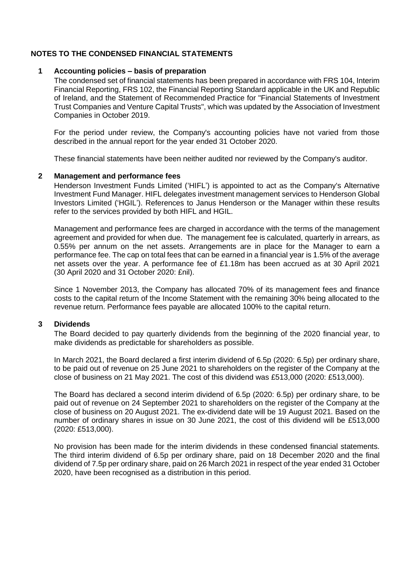# **NOTES TO THE CONDENSED FINANCIAL STATEMENTS**

# **1 Accounting policies – basis of preparation**

The condensed set of financial statements has been prepared in accordance with FRS 104, Interim Financial Reporting, FRS 102, the Financial Reporting Standard applicable in the UK and Republic of Ireland, and the Statement of Recommended Practice for "Financial Statements of Investment Trust Companies and Venture Capital Trusts", which was updated by the Association of Investment Companies in October 2019.

For the period under review, the Company's accounting policies have not varied from those described in the annual report for the year ended 31 October 2020.

These financial statements have been neither audited nor reviewed by the Company's auditor.

# **2 Management and performance fees**

Henderson Investment Funds Limited ('HIFL') is appointed to act as the Company's Alternative Investment Fund Manager. HIFL delegates investment management services to Henderson Global Investors Limited ('HGIL'). References to Janus Henderson or the Manager within these results refer to the services provided by both HIFL and HGIL.

Management and performance fees are charged in accordance with the terms of the management agreement and provided for when due. The management fee is calculated, quarterly in arrears, as 0.55% per annum on the net assets. Arrangements are in place for the Manager to earn a performance fee. The cap on total fees that can be earned in a financial year is 1.5% of the average net assets over the year. A performance fee of £1.18m has been accrued as at 30 April 2021 (30 April 2020 and 31 October 2020: £nil).

Since 1 November 2013, the Company has allocated 70% of its management fees and finance costs to the capital return of the Income Statement with the remaining 30% being allocated to the revenue return. Performance fees payable are allocated 100% to the capital return.

### **3 Dividends**

The Board decided to pay quarterly dividends from the beginning of the 2020 financial year, to make dividends as predictable for shareholders as possible.

In March 2021, the Board declared a first interim dividend of 6.5p (2020: 6.5p) per ordinary share, to be paid out of revenue on 25 June 2021 to shareholders on the register of the Company at the close of business on 21 May 2021. The cost of this dividend was £513,000 (2020: £513,000).

The Board has declared a second interim dividend of 6.5p (2020: 6.5p) per ordinary share, to be paid out of revenue on 24 September 2021 to shareholders on the register of the Company at the close of business on 20 August 2021. The ex-dividend date will be 19 August 2021. Based on the number of ordinary shares in issue on 30 June 2021, the cost of this dividend will be £513,000 (2020: £513,000).

No provision has been made for the interim dividends in these condensed financial statements. The third interim dividend of 6.5p per ordinary share, paid on 18 December 2020 and the final dividend of 7.5p per ordinary share, paid on 26 March 2021 in respect of the year ended 31 October 2020, have been recognised as a distribution in this period.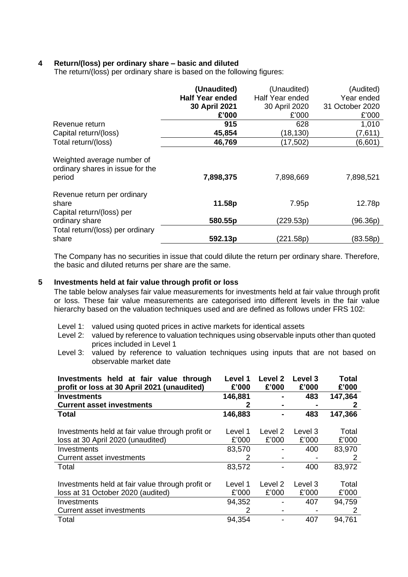# **4 Return/(loss) per ordinary share – basic and diluted**

The return/(loss) per ordinary share is based on the following figures:

|                                                                                     | (Unaudited)<br><b>Half Year ended</b><br>30 April 2021<br>£'000 | (Unaudited)<br>Half Year ended<br>30 April 2020<br>£'000 | (Audited)<br>Year ended<br>31 October 2020<br>£'000 |
|-------------------------------------------------------------------------------------|-----------------------------------------------------------------|----------------------------------------------------------|-----------------------------------------------------|
| Revenue return<br>Capital return/(loss)                                             | 915<br>45,854                                                   | 628<br>(18, 130)                                         | 1,010<br>(7,611)                                    |
| Total return/(loss)                                                                 | 46,769                                                          | (17,502)                                                 | (6,601)                                             |
| Weighted average number of<br>ordinary shares in issue for the<br>period            | 7,898,375                                                       | 7,898,669                                                | 7,898,521                                           |
| Revenue return per ordinary<br>share<br>Capital return/(loss) per<br>ordinary share | 11.58p<br>580.55p                                               | 7.95p<br>(229.53p)                                       | 12.78p<br>(96.36p)                                  |
| Total return/(loss) per ordinary<br>share                                           | 592.13p                                                         | (221.58p)                                                | (83.58p)                                            |

The Company has no securities in issue that could dilute the return per ordinary share. Therefore, the basic and diluted returns per share are the same.

### **5 Investments held at fair value through profit or loss**

The table below analyses fair value measurements for investments held at fair value through profit or loss. These fair value measurements are categorised into different levels in the fair value hierarchy based on the valuation techniques used and are defined as follows under FRS 102:

- Level 1: valued using quoted prices in active markets for identical assets
- Level 2: valued by reference to valuation techniques using observable inputs other than quoted prices included in Level 1
- Level 3: valued by reference to valuation techniques using inputs that are not based on observable market date

| Investments held at fair value through<br>profit or loss at 30 April 2021 (unaudited) | Level 1<br>£'000 | Level 2<br>£'000 | Level 3<br>£'000 | <b>Total</b><br>£'000 |
|---------------------------------------------------------------------------------------|------------------|------------------|------------------|-----------------------|
| <b>Investments</b>                                                                    | 146,881          |                  | 483              | 147,364               |
| <b>Current asset investments</b>                                                      |                  |                  |                  |                       |
| <b>Total</b>                                                                          | 146,883          |                  | 483              | 147,366               |
|                                                                                       |                  |                  |                  |                       |
| Investments held at fair value through profit or                                      | Level 1          | Level 2          | Level 3          | Total                 |
| loss at 30 April 2020 (unaudited)                                                     | £'000            | £'000            | £'000            | £'000                 |
| Investments                                                                           | 83,570           |                  | 400              | 83,970                |
| <b>Current asset investments</b>                                                      | 2                |                  |                  | 2                     |
| Total                                                                                 | 83,572           |                  | 400              | 83,972                |
|                                                                                       |                  |                  |                  |                       |
| Investments held at fair value through profit or                                      | Level 1          | Level 2          | Level 3          | Total                 |
| loss at 31 October 2020 (audited)                                                     | £'000            | £'000            | £'000            | £'000                 |
| Investments                                                                           | 94,352           |                  | 407              | 94,759                |
| <b>Current asset investments</b>                                                      | 2                |                  |                  | 2                     |
| Total                                                                                 | 94,354           |                  | 407              | 94,761                |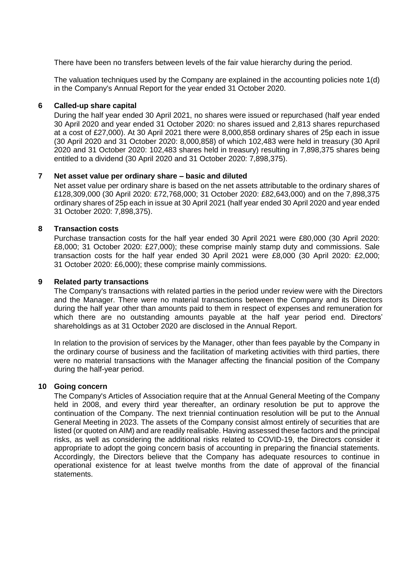There have been no transfers between levels of the fair value hierarchy during the period.

The valuation techniques used by the Company are explained in the accounting policies note 1(d) in the Company's Annual Report for the year ended 31 October 2020.

# **6 Called-up share capital**

During the half year ended 30 April 2021, no shares were issued or repurchased (half year ended 30 April 2020 and year ended 31 October 2020: no shares issued and 2,813 shares repurchased at a cost of £27,000). At 30 April 2021 there were 8,000,858 ordinary shares of 25p each in issue (30 April 2020 and 31 October 2020: 8,000,858) of which 102,483 were held in treasury (30 April 2020 and 31 October 2020: 102,483 shares held in treasury) resulting in 7,898,375 shares being entitled to a dividend (30 April 2020 and 31 October 2020: 7,898,375).

# **7 Net asset value per ordinary share – basic and diluted**

Net asset value per ordinary share is based on the net assets attributable to the ordinary shares of £128,309,000 (30 April 2020: £72,768,000; 31 October 2020: £82,643,000) and on the 7,898,375 ordinary shares of 25p each in issue at 30 April 2021 (half year ended 30 April 2020 and year ended 31 October 2020: 7,898,375).

# **8 Transaction costs**

Purchase transaction costs for the half year ended 30 April 2021 were £80,000 (30 April 2020: £8,000; 31 October 2020: £27,000); these comprise mainly stamp duty and commissions. Sale transaction costs for the half year ended 30 April 2021 were £8,000 (30 April 2020: £2,000; 31 October 2020: £6,000); these comprise mainly commissions.

# **9 Related party transactions**

The Company's transactions with related parties in the period under review were with the Directors and the Manager. There were no material transactions between the Company and its Directors during the half year other than amounts paid to them in respect of expenses and remuneration for which there are no outstanding amounts payable at the half year period end. Directors' shareholdings as at 31 October 2020 are disclosed in the Annual Report.

In relation to the provision of services by the Manager, other than fees payable by the Company in the ordinary course of business and the facilitation of marketing activities with third parties, there were no material transactions with the Manager affecting the financial position of the Company during the half-year period.

# **10 Going concern**

The Company's Articles of Association require that at the Annual General Meeting of the Company held in 2008, and every third year thereafter, an ordinary resolution be put to approve the continuation of the Company. The next triennial continuation resolution will be put to the Annual General Meeting in 2023. The assets of the Company consist almost entirely of securities that are listed (or quoted on AIM) and are readily realisable. Having assessed these factors and the principal risks, as well as considering the additional risks related to COVID-19, the Directors consider it appropriate to adopt the going concern basis of accounting in preparing the financial statements. Accordingly, the Directors believe that the Company has adequate resources to continue in operational existence for at least twelve months from the date of approval of the financial statements.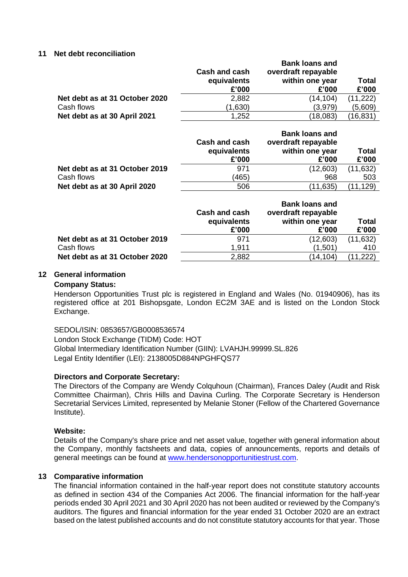### **11 Net debt reconciliation**

|                                | Cash and cash<br>equivalents<br>£'000 | <b>Bank loans and</b><br>overdraft repayable<br>within one year<br>£'000 | Total<br>£'000 |
|--------------------------------|---------------------------------------|--------------------------------------------------------------------------|----------------|
| Net debt as at 31 October 2020 | 2,882                                 | (14, 104)                                                                | (11, 222)      |
| Cash flows                     | (1,630)                               | (3,979)                                                                  | (5,609)        |
| Net debt as at 30 April 2021   | 1,252                                 | (18,083)                                                                 | (16,831)       |

|                                | Cash and cash<br>equivalents<br>£'000 | <b>Bank loans and</b><br>overdraft repayable<br>within one year<br>£'000 | Total<br>£'000 |
|--------------------------------|---------------------------------------|--------------------------------------------------------------------------|----------------|
| Net debt as at 31 October 2019 | 971                                   | (12,603)                                                                 | (11,632)       |
| Cash flows                     | (465)                                 | 968                                                                      | 503            |
| Net debt as at 30 April 2020   | 506                                   | (11,635)                                                                 | (11,129)       |

|                                | Cash and cash<br>equivalents<br>£'000 | <b>Bank loans and</b><br>overdraft repayable<br>within one year<br>£'000 | Total<br>£'000 |
|--------------------------------|---------------------------------------|--------------------------------------------------------------------------|----------------|
| Net debt as at 31 October 2019 | 971                                   | (12,603)                                                                 | (11, 632)      |
| Cash flows                     | 1,911                                 | (1,501)                                                                  | 410            |
| Net debt as at 31 October 2020 | 2,882                                 | (14,104)                                                                 | (11, 222)      |

# **12 General information**

#### **Company Status:**

Henderson Opportunities Trust plc is registered in England and Wales (No. 01940906), has its registered office at 201 Bishopsgate, London EC2M 3AE and is listed on the London Stock Exchange.

### SEDOL/ISIN: 0853657/GB0008536574

London Stock Exchange (TIDM) Code: HOT Global Intermediary Identification Number (GIIN): LVAHJH.99999.SL.826 Legal Entity Identifier (LEI): 2138005D884NPGHFQS77

### **Directors and Corporate Secretary:**

The Directors of the Company are Wendy Colquhoun (Chairman), Frances Daley (Audit and Risk Committee Chairman), Chris Hills and Davina Curling. The Corporate Secretary is Henderson Secretarial Services Limited, represented by Melanie Stoner (Fellow of the Chartered Governance Institute).

### **Website:**

Details of the Company's share price and net asset value, together with general information about the Company, monthly factsheets and data, copies of announcements, reports and details of general meetings can be found at [www.hendersonopportunitiestrust.com.](http://www.hendersonopportunitiestrust.com/)

### **13 Comparative information**

The financial information contained in the half-year report does not constitute statutory accounts as defined in section 434 of the Companies Act 2006. The financial information for the half-year periods ended 30 April 2021 and 30 April 2020 has not been audited or reviewed by the Company's auditors. The figures and financial information for the year ended 31 October 2020 are an extract based on the latest published accounts and do not constitute statutory accounts for that year. Those